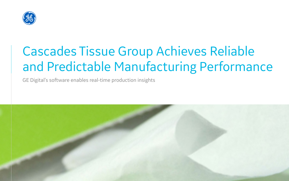

# Cascades Tissue Group Achieves Reliable and Predictable Manufacturing Performance

GE Digital's software enables real-time production insights

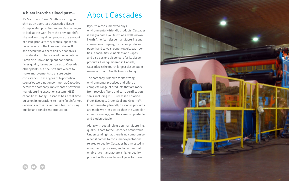#### **A blast into the siloed past…**

It's 5 a.m., and Sarah Smith is starting her shift as an operator at Cascades Tissue Group in Memphis, Tennessee. As she begins to look at the work from the previous shift, she realizes they didn't produce the amount of tissue products they were supposed to because one of the lines went down. But she doesn't have the visibility or analysis to understand what caused the downtime. Sarah also knows her plant continually faces quality issues compared to Cascades' other plants, but she isn't sure where to make improvements to ensure better consistency. These types of hypothetical scenarios were not uncommon at Cascades before the company implemented powerful manufacturing execution system (MES) capabilities. Today, Cascades has a real-time pulse on its operations to make fast informed decisions across its various sites—ensuring quality and consistent production.

#### About Cascades

If you're a consumer who buys environmentally friendly products, Cascades is likely a name you trust. As a well-known North American tissue manufacturing and conversion company, Cascades produces paper hand towels, paper towels, bathroom tissue, facial tissue, napkins and wipes, and also designs dispensers for its tissue products. Headquartered in Canada, Cascades is the fourth largest tissue paper manufacturer in North America today.

The company is known for its strong environmental practices and offers a complete range of products that are made from recycled fibers and carry certification seals, including PCF (Processed Chlorine Free), EcoLogo, Green Seal and Green-e®. Environmentally friendly Cascades products are made with less water than the Canadian industry average, and they are compostable and biodegradable.

Along with sustainble green manufacturing, quality is core to the Cascades brand value. Understanding that there is no compromise when it comes to consumer expectations related to quality, Cascades has invested in equipment, processes, and a culture that enable it to manufacture a higher quality product with a smaller ecological footprint.

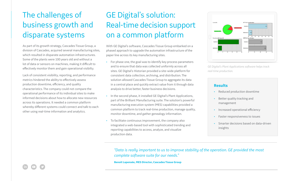# The challenges of business growth and disparate systems

As part of its growth strategy, Cascades Tissue Group, a division of Cascades, acquired several manufacturing sites, which resulted in disparate automation infrastructures. Some of the plants were 100 years old and without a lot of data or sensors on machines, making it difficult to effectively monitor them and gain operational visibilty.

Lack of consistent visibility, reporting, and performance metrics hindered the ability to effectively assess production downtime, efficiency, and quality characteristics. The company could not compare the operational performance of its individual sites to make informed decisions about how to allocate new resources across its operations. It needed a common platform whereby different systems could connect and talk to each other using real-time information and analytics.

# GE Digital's solution: Real-time decision support on a common platform

With GE Digital's software, Cascades Tissue Group embarked on a phased approach to upgrade the automation infrastructure of the paper line across its key manufacturing sites.

- For phase one, the goal was to identify key process parameters and to ensure that data was collected uniformly across all sites. GE Digital's Historian provided a site-wide platform for consistent data collection, archiving, and distribution. The solution allowed Cascades Tissue Group to aggregate its data in a central place and quickly extract value from it through data analysis to drive better, faster business decisions.
- In the second phase, it installed GE Digital's Plant Applications, part of the Brilliant Manufacturing suite. The solution's powerful manufacturing execution system (MES) capabilities provided a common platform to track real-time production, manage quality, monitor downtime, and gather genealogy information.
- To facilitate continuous improvement, the company also integrated a web-based tool with sophisticated trending and reporting capabilities to access, analyze, and visualize production data.



*"Data is really important to us to improve stability of the operation. GE provided the most complete software suite for our needs."* 

**Benoit Lapensée, MES Director, Cascades Tissue Group**



*GE Digital's Plant Applications software helps track real-time production.*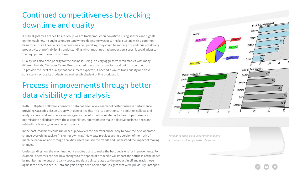### Continued competitiveness by tracking downtime and quality

A critical goal for Cacades Tissue Group was to track production downtime. Using sensors and signals on the machines, it sought to understand where downtime was occuring by starting with a common basis for all of its lines. While machines may be operating, they could be running dry and thus not driving productivity or profitability. By understanding which machines had production issues, it could adapt to that equipment to avoid downtime.

Quality was also a top priority for the business. Being in a very aggressive retail market with many different brands, Cascades Tissue Group wanted to ensure its quality stood out from competitors. To provide the level of quality that consumers expected, it needed a way to track quality and drive consistency across its products, no matter which plant or line produced it.

### Process improvements through better data visibility and analysis

With GE Digital's software, connected data has been a key enabler of better business performance, providing Cascades Tissue Group with deeper insights into its operations. The solution collects and analyzes data, and automates and integrates the information-related activities for performance optimization holistically. With these capabilities, operators can make objective business decisions related to efficiency, downtime, and quality.

In the past, machines could run or set up however the operator chose, only to have the next operator change everything back to "his or her own way." Now data provides a single version of the truth of machine behavior, and through analytics, users can see the trends and understand the impact of making changes.

Understanding how the machines work enables users to make the best decisions for improvements. For example, operators can see how changes to the speed of a machine will impact the softness of the paper by monitoring the output, quality specs, and data points related to the product itself and track those against the process setup. Data analysis brings deep operational insights that were previously untapped.



*Using data analysis to understand machine performance allows for better decisions.*



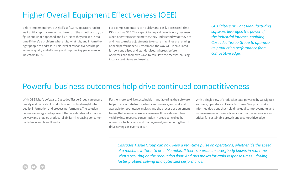Before implementing GE Digital's software, operators had to wait until a report came out at the end of the month and try to figure out what happened and fix it. Now, they can see in real time if there's a problem, where it is, what it is, and inform the right people to address it. This level of responsiveness helps increase qualty and efficiency and improve key performance indicators (KPIs).

For example, operators can quickly and easily access real-time KPIs such as OEE. This capability helps drive efficiency because when operators see the metrics, they understand what they are and how to make adjustments to ensure machines are running at peak performance. Furthermore, the way OEE is calculated is now centralized and standardized, whereas before, operators had their own ways to calculate the metrics, causing inconsistent views and results.

### Higher Overall Equipment Effectiveness (OEE)

With GE Digital's software, Cascades Tissue Group can ensure quality and consistent production with critical insight into quality information and process performance. The solution delivers an integrated approach that accelerates information delivery and enables product reliability—increasing consumer confidence and brand loyalty.

Furthermore, to drive sustainable manufacturing, the software helps uncover data from systems and sensors, and makes it available for both usage analysis and the process or equipment tuning that eliminates excessive usage. It provides intuitive visibility into resource consumption in areas controlled by operators, technicians, and management, empowering them to drive savings as events occur.

With a single view of production data powered by GE Digital's software, operators at Cascades Tissue Group can make informed decisions that help drive quality improvements and increase manufacturing efficiency across the various sites critical for sustainable growth and a competitive edge.

#### Powerful business outcomes help drive continued competitiveness

*GE Digital's Brilliant Manufacturing software leverages the power of the Industrial Internet, enabling Cascades Tissue Group to optimize its production performance for a competitive edge.*

*Cascades Tissue Group can now keep a real-time pulse on operations, whether it's the speed of a machine in Toronto or in Memphis. If there's a problem, everybody knows in real time what's occuring on the production floor. And this makes for rapid response times—driving faster problem solving and optimized performance.*